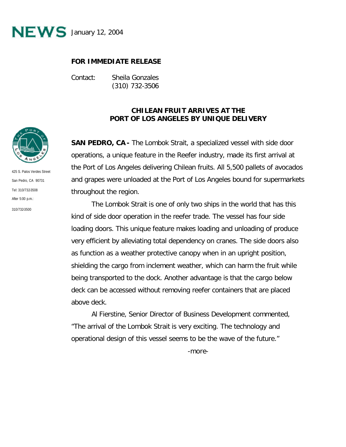

## **FOR IMMEDIATE RELEASE**

Contact: Sheila Gonzales (310) 732-3506

## **CHILEAN FRUIT ARRIVES AT THE PORT OF LOS ANGELES BY UNIQUE DELIVERY**

**SAN PEDRO, CA -** The *Lombok Strait,* a specialized vessel with side door operations, a unique feature in the Reefer industry, made its first arrival at the Port of Los Angeles delivering Chilean fruits. All 5,500 pallets of avocados and grapes were unloaded at the Port of Los Angeles bound for supermarkets throughout the region.

The *Lombok Strait* is one of only two ships in the world that has this kind of side door operation in the reefer trade. The vessel has four side loading doors. This unique feature makes loading and unloading of produce very efficient by alleviating total dependency on cranes. The side doors also as function as a weather protective canopy when in an upright position, shielding the cargo from inclement weather, which can harm the fruit while being transported to the dock. Another advantage is that the cargo below deck can be accessed without removing reefer containers that are placed above deck.

Al Fierstine, Senior Director of Business Development commented, "The arrival of the *Lombok Strait* is very exciting. The technology and operational design of this vessel seems to be the wave of the future."

-more-



425 S. Palos Verdes Street San Pedro, CA 90731 Tel: 310/732-3508 After  $5:00 \text{ p.m.}$ 310/732-3500